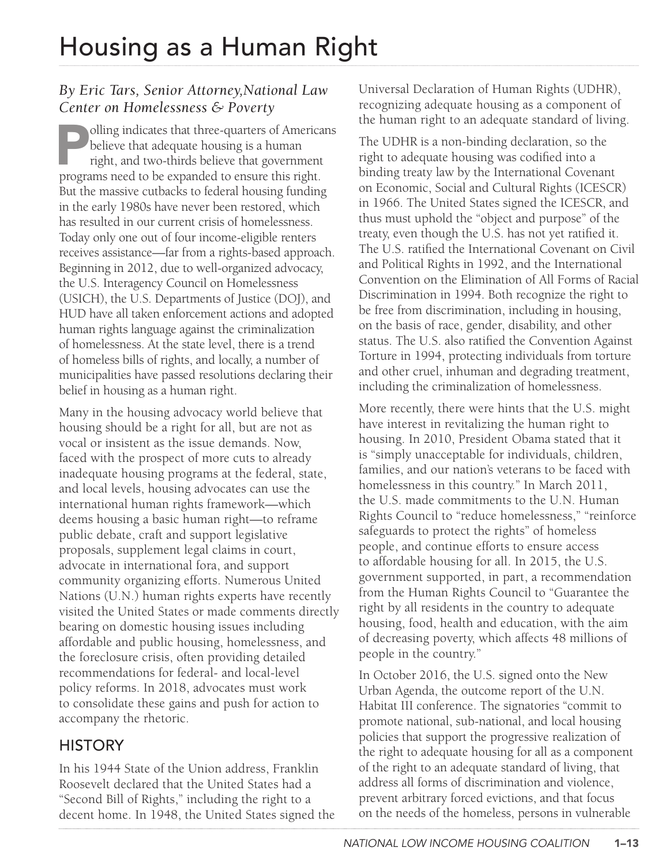#### *By Eric Tars, Senior Attorney,National Law Center on Homelessness & Poverty*

olling indicates that three-quarters of Americans believe that adequate housing is a human right, and two-thirds believe that government programs need to be expanded to ensure this right. But the massive cutbacks to federal housing funding in the early 1980s have never been restored, which has resulted in our current crisis of homelessness. Today only one out of four income-eligible renters receives assistance—far from a rights-based approach. Beginning in 2012, due to well-organized advocacy, the U.S. Interagency Council on Homelessness (USICH), the U.S. Departments of Justice (DOJ), and HUD have all taken enforcement actions and adopted human rights language against the criminalization of homelessness. At the state level, there is a trend of homeless bills of rights, and locally, a number of municipalities have passed resolutions declaring their belief in housing as a human right.

Many in the housing advocacy world believe that housing should be a right for all, but are not as vocal or insistent as the issue demands. Now, faced with the prospect of more cuts to already inadequate housing programs at the federal, state, and local levels, housing advocates can use the international human rights framework—which deems housing a basic human right—to reframe public debate, craft and support legislative proposals, supplement legal claims in court, advocate in international fora, and support community organizing efforts. Numerous United Nations (U.N.) human rights experts have recently visited the United States or made comments directly bearing on domestic housing issues including affordable and public housing, homelessness, and the foreclosure crisis, often providing detailed recommendations for federal- and local-level policy reforms. In 2018, advocates must work to consolidate these gains and push for action to accompany the rhetoric.

## **HISTORY**

In his 1944 State of the Union address, Franklin Roosevelt declared that the United States had a "Second Bill of Rights," including the right to a decent home. In 1948, the United States signed the Universal Declaration of Human Rights (UDHR), recognizing adequate housing as a component of the human right to an adequate standard of living.

The UDHR is a non-binding declaration, so the right to adequate housing was codified into a binding treaty law by the International Covenant on Economic, Social and Cultural Rights (ICESCR) in 1966. The United States signed the ICESCR, and thus must uphold the "object and purpose" of the treaty, even though the U.S. has not yet ratified it. The U.S. ratified the International Covenant on Civil and Political Rights in 1992, and the International Convention on the Elimination of All Forms of Racial Discrimination in 1994. Both recognize the right to be free from discrimination, including in housing, on the basis of race, gender, disability, and other status. The U.S. also ratified the Convention Against Torture in 1994, protecting individuals from torture and other cruel, inhuman and degrading treatment, including the criminalization of homelessness.

More recently, there were hints that the U.S. might have interest in revitalizing the human right to housing. In 2010, President Obama stated that it is "simply unacceptable for individuals, children, families, and our nation's veterans to be faced with homelessness in this country." In March 2011, the U.S. made commitments to the U.N. Human Rights Council to "reduce homelessness," "reinforce safeguards to protect the rights" of homeless people, and continue efforts to ensure access to affordable housing for all. In 2015, the U.S. government supported, in part, a recommendation from the Human Rights Council to "Guarantee the right by all residents in the country to adequate housing, food, health and education, with the aim of decreasing poverty, which affects 48 millions of people in the country."

In October 2016, the U.S. signed onto the New Urban Agenda, the outcome report of the U.N. Habitat III conference. The signatories "commit to promote national, sub-national, and local housing policies that support the progressive realization of the right to adequate housing for all as a component of the right to an adequate standard of living, that address all forms of discrimination and violence, prevent arbitrary forced evictions, and that focus on the needs of the homeless, persons in vulnerable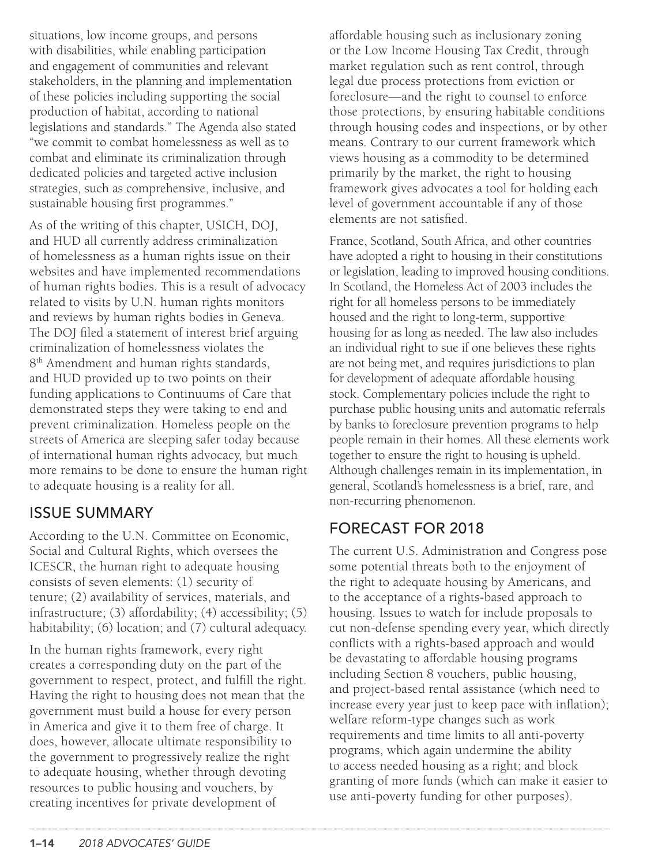situations, low income groups, and persons with disabilities, while enabling participation and engagement of communities and relevant stakeholders, in the planning and implementation of these policies including supporting the social production of habitat, according to national legislations and standards." The Agenda also stated "we commit to combat homelessness as well as to combat and eliminate its criminalization through dedicated policies and targeted active inclusion strategies, such as comprehensive, inclusive, and sustainable housing first programmes."

As of the writing of this chapter, USICH, DOJ, and HUD all currently address criminalization of homelessness as a human rights issue on their websites and have implemented recommendations of human rights bodies. This is a result of advocacy related to visits by U.N. human rights monitors and reviews by human rights bodies in Geneva. The DOJ filed a statement of interest brief arguing criminalization of homelessness violates the 8<sup>th</sup> Amendment and human rights standards, and HUD provided up to two points on their funding applications to Continuums of Care that demonstrated steps they were taking to end and prevent criminalization. Homeless people on the streets of America are sleeping safer today because of international human rights advocacy, but much more remains to be done to ensure the human right to adequate housing is a reality for all.

#### ISSUE SUMMARY

According to the U.N. Committee on Economic, Social and Cultural Rights, which oversees the ICESCR, the human right to adequate housing consists of seven elements: (1) security of tenure; (2) availability of services, materials, and infrastructure; (3) affordability; (4) accessibility; (5) habitability; (6) location; and (7) cultural adequacy.

In the human rights framework, every right creates a corresponding duty on the part of the government to respect, protect, and fulfill the right. Having the right to housing does not mean that the government must build a house for every person in America and give it to them free of charge. It does, however, allocate ultimate responsibility to the government to progressively realize the right to adequate housing, whether through devoting resources to public housing and vouchers, by creating incentives for private development of

affordable housing such as inclusionary zoning or the Low Income Housing Tax Credit, through market regulation such as rent control, through legal due process protections from eviction or foreclosure—and the right to counsel to enforce those protections, by ensuring habitable conditions through housing codes and inspections, or by other means. Contrary to our current framework which views housing as a commodity to be determined primarily by the market, the right to housing framework gives advocates a tool for holding each level of government accountable if any of those elements are not satisfied.

France, Scotland, South Africa, and other countries have adopted a right to housing in their constitutions or legislation, leading to improved housing conditions. In Scotland, the Homeless Act of 2003 includes the right for all homeless persons to be immediately housed and the right to long-term, supportive housing for as long as needed. The law also includes an individual right to sue if one believes these rights are not being met, and requires jurisdictions to plan for development of adequate affordable housing stock. Complementary policies include the right to purchase public housing units and automatic referrals by banks to foreclosure prevention programs to help people remain in their homes. All these elements work together to ensure the right to housing is upheld. Although challenges remain in its implementation, in general, Scotland's homelessness is a brief, rare, and non-recurring phenomenon.

## FORECAST FOR 2018

The current U.S. Administration and Congress pose some potential threats both to the enjoyment of the right to adequate housing by Americans, and to the acceptance of a rights-based approach to housing. Issues to watch for include proposals to cut non-defense spending every year, which directly conflicts with a rights-based approach and would be devastating to affordable housing programs including Section 8 vouchers, public housing, and project-based rental assistance (which need to increase every year just to keep pace with inflation); welfare reform-type changes such as work requirements and time limits to all anti-poverty programs, which again undermine the ability to access needed housing as a right; and block granting of more funds (which can make it easier to use anti-poverty funding for other purposes).